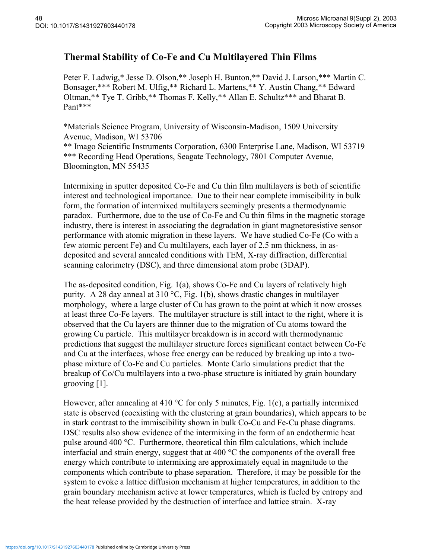## **Thermal Stability of Co-Fe and Cu Multilayered Thin Films**

Peter F. Ladwig,\* Jesse D. Olson,\*\* Joseph H. Bunton,\*\* David J. Larson,\*\*\* Martin C. Bonsager,\*\*\* Robert M. Ulfig,\*\* Richard L. Martens,\*\* Y. Austin Chang,\*\* Edward Oltman,\*\* Tye T. Gribb,\*\* Thomas F. Kelly,\*\* Allan E. Schultz\*\*\* and Bharat B. Pant\*\*\*

\*Materials Science Program, University of Wisconsin-Madison, 1509 University Avenue, Madison, WI 53706

\*\* Imago Scientific Instruments Corporation, 6300 Enterprise Lane, Madison, WI 53719 \*\*\* Recording Head Operations, Seagate Technology, 7801 Computer Avenue, Bloomington, MN 55435

Intermixing in sputter deposited Co-Fe and Cu thin film multilayers is both of scientific interest and technological importance. Due to their near complete immiscibility in bulk form, the formation of intermixed multilayers seemingly presents a thermodynamic paradox. Furthermore, due to the use of Co-Fe and Cu thin films in the magnetic storage industry, there is interest in associating the degradation in giant magnetoresistive sensor performance with atomic migration in these layers. We have studied Co-Fe (Co with a few atomic percent Fe) and Cu multilayers, each layer of 2.5 nm thickness, in asdeposited and several annealed conditions with TEM, X-ray diffraction, differential scanning calorimetry (DSC), and three dimensional atom probe (3DAP).

The as-deposited condition, Fig. 1(a), shows Co-Fe and Cu layers of relatively high purity. A 28 day anneal at 310 °C, Fig. 1(b), shows drastic changes in multilayer morphology, where a large cluster of Cu has grown to the point at which it now crosses at least three Co-Fe layers. The multilayer structure is still intact to the right, where it is observed that the Cu layers are thinner due to the migration of Cu atoms toward the growing Cu particle. This multilayer breakdown is in accord with thermodynamic predictions that suggest the multilayer structure forces significant contact between Co-Fe and Cu at the interfaces, whose free energy can be reduced by breaking up into a twophase mixture of Co-Fe and Cu particles. Monte Carlo simulations predict that the breakup of Co/Cu multilayers into a two-phase structure is initiated by grain boundary grooving [1].

However, after annealing at 410  $\degree$ C for only 5 minutes, Fig. 1(c), a partially intermixed state is observed (coexisting with the clustering at grain boundaries), which appears to be in stark contrast to the immiscibility shown in bulk Co-Cu and Fe-Cu phase diagrams. DSC results also show evidence of the intermixing in the form of an endothermic heat pulse around 400 °C. Furthermore, theoretical thin film calculations, which include interfacial and strain energy, suggest that at 400 °C the components of the overall free energy which contribute to intermixing are approximately equal in magnitude to the components which contribute to phase separation. Therefore, it may be possible for the system to evoke a lattice diffusion mechanism at higher temperatures, in addition to the grain boundary mechanism active at lower temperatures, which is fueled by entropy and the heat release provided by the destruction of interface and lattice strain. X-ray